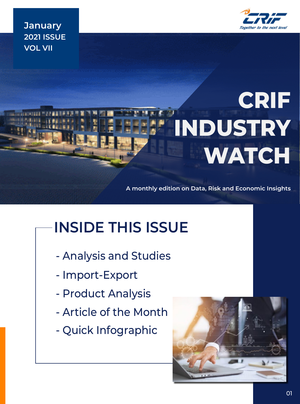

**January 2021 ISSUE VOL VII**

# **CRIF INDUSTRY WATCH**

**A monthly edition on Data, Risk and Economic Insights**

# **INSIDE THIS ISSUE**

- Analysis and Studies
- Import-Export
- Product Analysis
- Article of the Month
- Quick Infographic

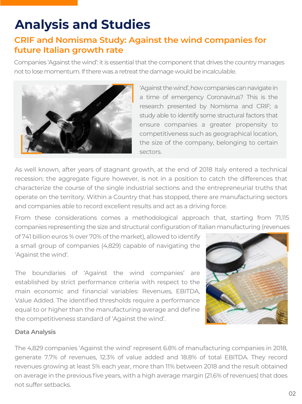# **Analysis and Studies**

### **CRIF and Nomisma Study: Against the wind Companies for future Italian growth rate**

Companies 'Against the wind': it is essential that the component that drives the country manages not to lose momentum. If there was a retreat the damage would be incalculable.



'Against the wind', how companies can navigate in a time of emergency Coronavirus? This is the research presented by Nomisma and CRIF; a study able to identify some structural factors that ensure companies a greater propensity to competitiveness such as geographical location, the size of the company, belonging to certain sectors.

As well known, after years of stagnant growth, at the end of 2018 Italy entered a technical recession; the aggregate figure however, is not in a position to catch the differences that characterize the course of the single industrial sections and the entrepreneurial truths that operate on the territory. Within a Country that has stopped, there are manufacturing sectors and companies able to record excellent results and act as a driving force.

From these considerations comes a methodological approach that, starting from 71,115 companies representing the size and structural configuration of Italian manufacturing (revenues

of 741 billion euros % over 70% of the market), allowed to identify a small group of companies (4,829) capable of navigating the 'Against the wind'.

The boundaries of 'Against the wind companies' are established by strict performance criteria with respect to the main economic and financial variables: Revenues, EBITDA, Value Added. The identified thresholds require a performance equal to or higher than the manufacturing average and define the competitiveness standard of 'Against the wind'.



### **Data Analysis**

The 4,829 companies 'Against the wind' represent 6.8% of manufacturing companies in 2018, generate 7.7% of revenues, 12.3% of value added and 18.8% of total EBITDA. They record revenues growing at least 5% each year, more than 11% between 2018 and the result obtained on average in the previous five years, with a high average margin (21.6% of revenues) that does not suffer setbacks.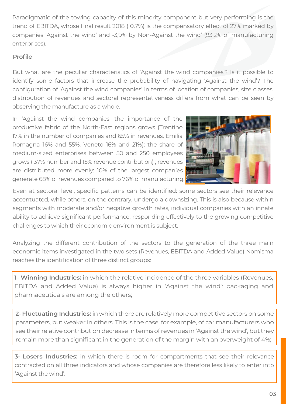Paradigmatic of the towing capacity of this minority component but very performing is the trend of EBITDA, whose final result 2018 ( 0.7%) is the compensatory effect of 27% marked by companies 'Against the wind' and -3,9% by Non-Against the wind' (93.2% of manufacturing enterprises).

### **Profile**

But what are the peculiar characteristics of 'Against the wind companies'? Is it possible to identify some factors that increase the probability of navigating 'Against the wind'? The configuration of 'Against the wind companies' in terms of location of companies, size classes, distribution of revenues and sectoral representativeness differs from what can be seen by observing the manufacture as a whole.

In 'Against the wind companies' the importance of the productive fabric of the North-East regions grows (Trentino 17% in the number of companies and 65% in revenues, Emilia Romagna 16% and 55%, Veneto 16% and 21%); the share of medium-sized enterprises between 50 and 250 employees grows ( 37% number and 15% revenue contribution) ; revenues are distributed more evenly: 10% of the largest companies generate 68% of revenues compared to 76% of manufacturing.



Even at sectoral level, specific patterns can be identified: some sectors see their relevance accentuated, while others, on the contrary, undergo a downsizing. This is also because within segments with moderate and/or negative growth rates, individual companies with an innate ability to achieve significant performance, responding effectively to the growing competitive challenges to which their economic environment is subject.

Analyzing the different contribution of the sectors to the generation of the three main economic items investigated in the two sets (Revenues, EBITDA and Added Value) Nomisma reaches the identification of three distinct groups:

**1- Winning Industries:** in which the relative incidence of the three variables (Revenues, EBITDA and Added Value) is always higher in 'Against the wind': packaging and pharmaceuticals are among the others;

**2- Fluctuating Industries:** in which there are relatively more competitive sectors on some parameters, but weaker in others. This is the case, for example, of car manufacturers who see their relative contribution decrease in terms of revenues in 'Against the wind', but they remain more than significant in the generation of the margin with an overweight of 4%;

**3- Losers Industries:** in which there is room for compartments that see their relevance contracted on all three indicators and whose companies are therefore less likely to enter into 'Against the wind'.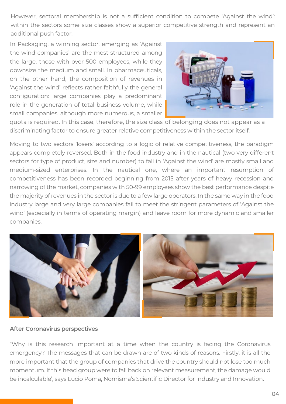However, sectoral membership is not a sufficient condition to compete 'Against the wind': within the sectors some size classes show a superior competitive strength and represent an additional push factor.

In Packaging, a winning sector, emerging as 'Against the wind companies' are the most structured among the large, those with over 500 employees, while they downsize the medium and small. In pharmaceuticals, on the other hand, the composition of revenues in 'Against the wind' reflects rather faithfully the general configuration: large companies play a predominant role in the generation of total business volume, while small companies, although more numerous, a smaller



quota is required. In this case, therefore, the size class of belonging does not appear as a discriminating factor to ensure greater relative competitiveness within the sector itself.

Moving to two sectors 'losers' according to a logic of relative competitiveness, the paradigm appears completely reversed. Both in the food industry and in the nautical (two very different sectors for type of product, size and number) to fall in 'Against the wind' are mostly small and medium-sized enterprises. In the nautical one, where an important resumption of competitiveness has been recorded beginning from 2015 after years of heavy recession and narrowing of the market, companies with 50-99 employees show the best performance despite the majority of revenues in the sector is due to a few large operators. In the same way in the food industry large and very large companies fail to meet the stringent parameters of 'Against the wind' (especially in terms of operating margin) and leave room for more dynamic and smaller companies.



#### **After Coronavirus perspectives**

"Why is this research important at a time when the country is facing the Coronavirus emergency? The messages that can be drawn are of two kinds of reasons. Firstly, it is all the more important that the group of companies that drive the country should not lose too much momentum. If this head group were to fall back on relevant measurement, the damage would be incalculable', says Lucio Poma, Nomisma's Scientific Director for Industry and Innovation.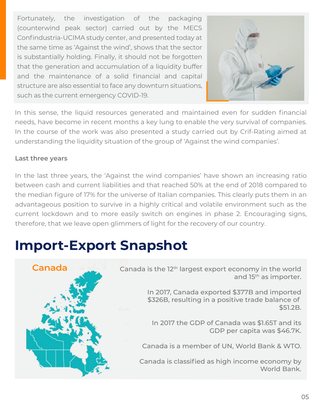Fortunately, the investigation of the packaging (counterwind peak sector) carried out by the MECS Confindustria-UCIMA study center, and presented today at the same time as 'Against the wind', shows that the sector is substantially holding. Finally, it should not be forgotten that the generation and accumulation of a liquidity buffer and the maintenance of a solid financial and capital structure are also essential to face any downturn situations, such as the current emergency COVID-19.



In this sense, the liquid resources generated and maintained even for sudden financial needs, have become in recent months a key lung to enable the very survival of companies. In the course of the work was also presented a study carried out by Crif-Rating aimed at understanding the liquidity situation of the group of 'Against the wind companies'.

### **Last three years**

In the last three years, the 'Against the wind companies' have shown an increasing ratio between cash and current liabilities and that reached 50% at the end of 2018 compared to the median figure of 17% for the universe of Italian companies. This clearly puts them in an advantageous position to survive in a highly critical and volatile environment such as the current lockdown and to more easily switch on engines in phase 2. Encouraging signs, therefore, that we leave open glimmers of light for the recovery of our country.

# **Import-Export Snapshot**



**Canada** Canada is the 12<sup>th</sup> largest export economy in the world and 15<sup>th</sup> as importer.

> In 2017, Canada exported \$377B and imported \$326B, resulting in a positive trade balance of \$51.2B.

In 2017 the GDP of Canada was \$1.65T and its GDP per capita was \$46.7K.

Canada is a member of UN, World Bank & WTO.

Canada is classified as high income economy by World Bank.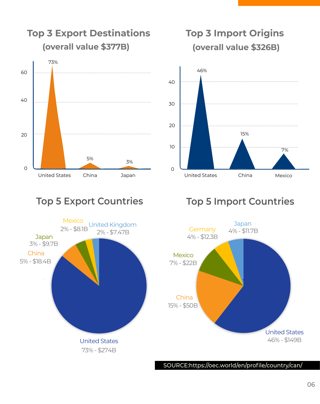

**Top 3 Export Destinations**

### **Top 3 Import Origins (overall value \$326B)**





### **Top 5 Export Countries Top 5 Import Countries**



SOURCE:https://oec.world/en/profile/country/can/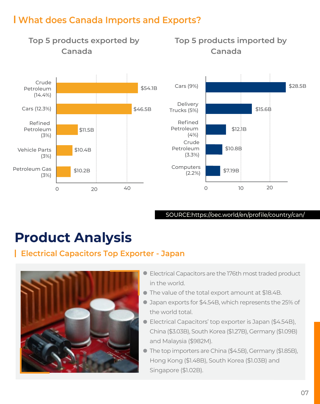### **What does Canada Imports and Exports?**



#### SOURCE:https://oec.world/en/profile/country/can/

# **Product Analysis**

### **Electrical Capacitors Top Exporter - Japan**



- Electrical Capacitors are the 176th most traded product in the world.
- The value of the total export amount at \$18.4B.
- Japan exports for \$4.54B, which represents the 25% of the world total.
- Electrical Capacitors' top exporter is Japan (\$4.54B), China (\$3.03B), South Korea (\$1.27B), Germany (\$1.09B) and Malaysia (\$982M).
- The top importers are China (\$4.5B), Germany (\$1.85B), Hong Kong (\$1.48B), South Korea (\$1.03B) and Singapore (\$1.02B).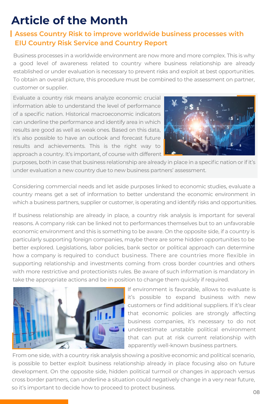# **Article of the Month**

### **Assess Country Risk to improve worldwide business processes with EIU Country Risk Service and Country Report**

Business processes in a worldwide environment are now more and more complex. This is why a good level of awareness related to country where business relationship are already established or under evaluation is necessary to prevent risks and exploit at best opportunities. To obtain an overall picture, this procedure must be combined to the assessment on partner, customer or supplier.

Evaluate a country risk means analyze economic crucial information able to understand the level of performance of a specific nation. Historical macroeconomic indicators can underline the performance and identify area in which results are good as well as weak ones. Based on this data, it's also possible to have an outlook and forecast future results and achievements. This is the right way to approach a country. It's important, of course with different



purposes, both in case that business relationship are already in place in a specific nation or if it's under evaluation a new country due to new business partners' assessment.

Considering commercial needs and let aside purposes linked to economic studies, evaluate a country means get a set of information to better understand the economic environment in which a business partners, supplier or customer, is operating and identify risks and opportunities.

If business relationship are already in place, a country risk analysis is important for several reasons. A company risk can be linked not to performances themselves but to an unfavorable economic environment and this is something to be aware. On the opposite side, if a country is particularly supporting foreign companies, maybe there are some hidden opportunities to be better explored. Legislations, labor policies, bank sector or political approach can determine how a company is required to conduct business. There are countries more flexible in supporting relationship and investments coming from cross border countries and others with more restrictive and protectionists rules. Be aware of such information is mandatory in take the appropriate actions and be in position to change them quickly if required.



If environment is favorable, allows to evaluate is it's possible to expand business with new customers or find additional suppliers. If it's clear that economic policies are strongly affecting business companies, it's necessary to do not underestimate unstable political environment that can put at risk current relationship with apparently well-known business partners.

From one side, with a country risk analysis showing a positive economic and political scenario, is possible to better exploit business relationship already in place focusing also on future development. On the opposite side, hidden political turmoil or changes in approach versus cross border partners, can underline a situation could negatively change in a very near future, so it's important to decide how to proceed to protect business.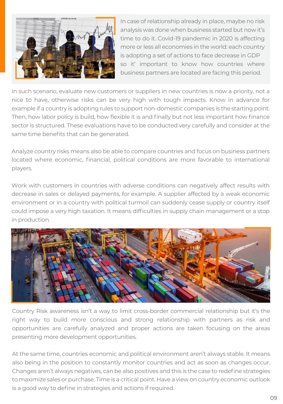

In case of relationship already in place, maybe no risk analysis was done when business started but now it's time to do it. Covid-19 pandemic in 2020 is affecting more or less all economies in the world: each country is adopting a set of actions to face decrease in GDP so it' important to know how countries where business partners are located are facing this period.

In such scenario, evaluate new customers or suppliers in new countries is now a priority, not a nice to have, otherwise risks can be very high with tough impacts. Know in advance for example if a country is adopting rules to support non-domestic companies is the starting point. Then, how labor policy is build, how flexible it is and finally but not less important how finance sector is structured. These evaluations have to be conducted very carefully and consider at the same time benefits that can be generated.

Analyze country risks means also be able to compare countries and focus on business partners located where economic, financial, political conditions are more favorable to international players.

Work with customers in countries with adverse conditions can negatively affect results with decrease in sales or delayed payments, for example. A supplier affected by a weak economic environment or in a country with political turmoil can suddenly cease supply or country itself could impose a very high taxation. It means difficulties in supply chain management or a stop in production.



Country Risk awareness isn't a way to limit cross-border commercial relationship but it's the right way to build more conscious and strong relationship with partners as risk and opportunities are carefully analyzed and proper actions are taken focusing on the areas presenting more development opportunities.

At the same time, countries economic and political environment aren't always stable. It means also being in the position to constantly monitor countries and act as soon as changes occur. Changes aren't always negatives, can be also positives and this is the case to redefine strategies to maximize sales or purchase. Time is a critical point. Have a view on country economic outlook is a good way to define in strategies and actions if required.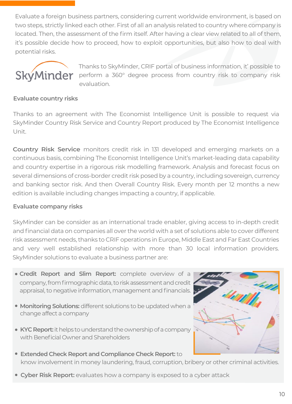Evaluate a foreign business partners, considering current worldwide environment, is based on two steps, strictly linked each other. First of all an analysis related to country where company is located. Then, the assessment of the firm itself. After having a clear view related to all of them, it's possible decide how to proceed, how to exploit opportunities, but also how to deal with potential risks.



Thanks to SkyMinder, CRIF portal of business information, it' possible to perform a 360° degree process from country risk to company risk evaluation.

### **Evaluate country risks**

Thanks to an agreement with The Economist Intelligence Unit is possible to request via SkyMinder Country Risk Service and Country Report produced by The Economist Intelligence Unit.

**Country Risk Service** monitors credit risk in 131 developed and emerging markets on a continuous basis, combining The Economist Intelligence Unit's market-leading data capability and country expertise in a rigorous risk modelling framework. Analysis and forecast focus on several dimensions of cross-border credit risk posed by a country, including sovereign, currency and banking sector risk. And then Overall Country Risk. Every month per 12 months a new edition is available including changes impacting a country, if applicable.

#### **Evaluate company risks**

SkyMinder can be consider as an international trade enabler, giving access to in-depth credit and financial data on companies all over the world with a set of solutions able to cover different risk assessment needs, thanks to CRIF operations in Europe, Middle East and Far East Countries and very well established relationship with more than 30 local information providers. SkyMinder solutions to evaluate a business partner are:

- **Credit Report and Slim Report:** complete overview of a company, from firmographic data, to risk assessment and credit appraisal, to negative information, management and financials.
- **Monitoring Solutions:** different solutions to be updated when a change affect a company
- **KYC Report:** it helps to understand the ownership of a company with Beneficial Owner and Shareholders
- **Extended Check Report and Compliance Check Report:** to know involvement in money laundering, fraud, corruption, bribery or other criminal activities.
- **Cyber Risk Report:** evaluates how a company is exposed to a cyber attack

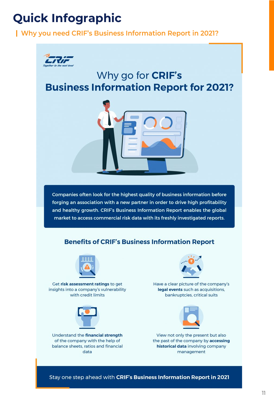# **Quick Infographic**

### **Why you need CRIF's Business Information Report in 2021?**



### Why go for **CRIF's Business Information Report for 2021?**



Companies often look for the highest quality of business information before forging an association with a new partner in order to drive high profitability and healthy growth. CRIF's Business Information Report enables the global market to access commercial risk data with its freshly investigated reports.

### **Benefits of CRIF's Business Information Report**



Get risk assessment ratings to get insights into a company's vulnerability with credit limits



Understand the financial strength of the company with the help of balance sheets, ratios and financial  $data$ 



Have a clear picture of the company's legal events such as acquisitions, bankruptcies, critical suits



View not only the present but also the past of the company by accessing historical data involving company management

Stay one step ahead with CRIF's Business Information Report in 2021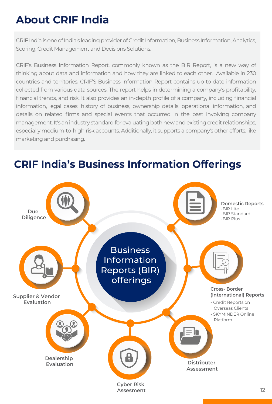# **About CRIF India**

CRIF India is one of India's leading provider of Credit Information, Business Information, Analytics, Scoring, Credit Management and Decisions Solutions.

CRIF's Business Information Report, commonly known as the BIR Report, is a new way of thinking about data and information and how they are linked to each other. Available in 230 countries and territories, CRIF'S Business Information Report contains up to date information collected from various data sources. The report helps in determining a company's profitability, financial trends, and risk. It also provides an in-depth profile of a company, including financial information, legal cases, history of business, ownership details, operational information, and details on related firms and special events that occurred in the past involving company management. It's an industry standard for evaluating both new and existing credit relationships, especially medium-to-high risk accounts. Additionally, it supports a company's other efforts, like marketing and purchasing.



# **CRIF India's Business Information Offerings**